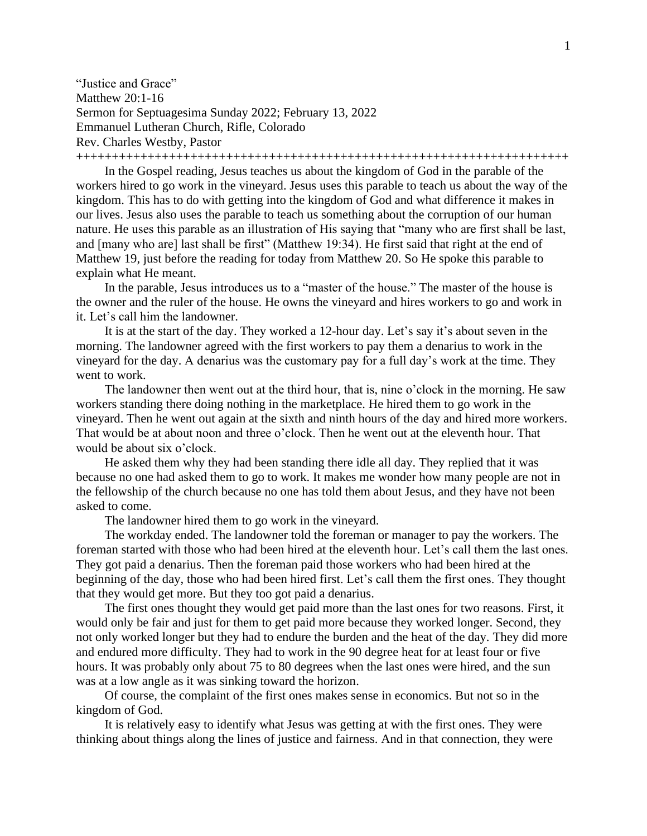"Justice and Grace" Matthew 20:1-16 Sermon for Septuagesima Sunday 2022; February 13, 2022 Emmanuel Lutheran Church, Rifle, Colorado Rev. Charles Westby, Pastor

+++++++++++++++++++++++++++++++++++++++++++++++++++++++++++++++++++++

In the Gospel reading, Jesus teaches us about the kingdom of God in the parable of the workers hired to go work in the vineyard. Jesus uses this parable to teach us about the way of the kingdom. This has to do with getting into the kingdom of God and what difference it makes in our lives. Jesus also uses the parable to teach us something about the corruption of our human nature. He uses this parable as an illustration of His saying that "many who are first shall be last, and [many who are] last shall be first" (Matthew 19:34). He first said that right at the end of Matthew 19, just before the reading for today from Matthew 20. So He spoke this parable to explain what He meant.

In the parable, Jesus introduces us to a "master of the house." The master of the house is the owner and the ruler of the house. He owns the vineyard and hires workers to go and work in it. Let's call him the landowner.

It is at the start of the day. They worked a 12-hour day. Let's say it's about seven in the morning. The landowner agreed with the first workers to pay them a denarius to work in the vineyard for the day. A denarius was the customary pay for a full day's work at the time. They went to work.

The landowner then went out at the third hour, that is, nine o'clock in the morning. He saw workers standing there doing nothing in the marketplace. He hired them to go work in the vineyard. Then he went out again at the sixth and ninth hours of the day and hired more workers. That would be at about noon and three o'clock. Then he went out at the eleventh hour. That would be about six o'clock.

He asked them why they had been standing there idle all day. They replied that it was because no one had asked them to go to work. It makes me wonder how many people are not in the fellowship of the church because no one has told them about Jesus, and they have not been asked to come.

The landowner hired them to go work in the vineyard.

The workday ended. The landowner told the foreman or manager to pay the workers. The foreman started with those who had been hired at the eleventh hour. Let's call them the last ones. They got paid a denarius. Then the foreman paid those workers who had been hired at the beginning of the day, those who had been hired first. Let's call them the first ones. They thought that they would get more. But they too got paid a denarius.

The first ones thought they would get paid more than the last ones for two reasons. First, it would only be fair and just for them to get paid more because they worked longer. Second, they not only worked longer but they had to endure the burden and the heat of the day. They did more and endured more difficulty. They had to work in the 90 degree heat for at least four or five hours. It was probably only about 75 to 80 degrees when the last ones were hired, and the sun was at a low angle as it was sinking toward the horizon.

Of course, the complaint of the first ones makes sense in economics. But not so in the kingdom of God.

It is relatively easy to identify what Jesus was getting at with the first ones. They were thinking about things along the lines of justice and fairness. And in that connection, they were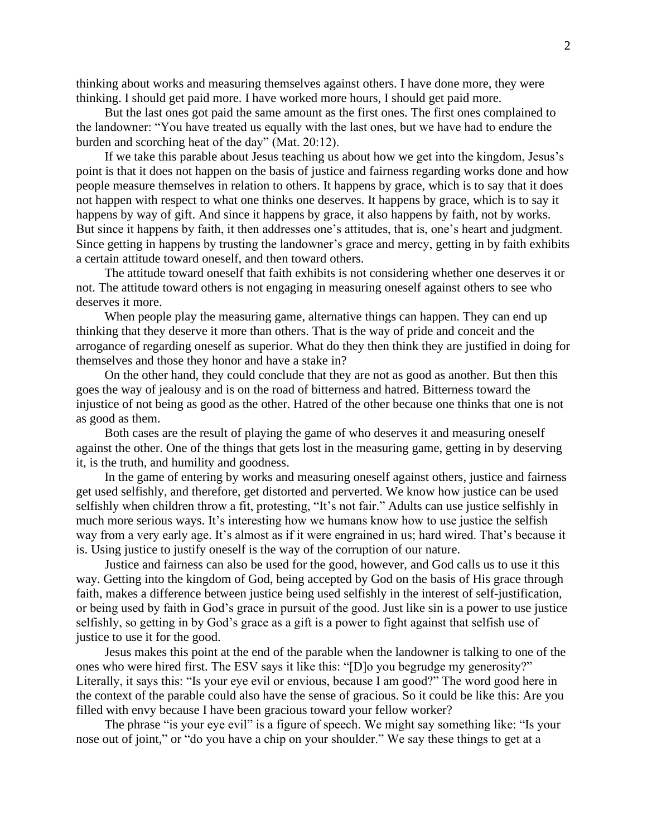thinking about works and measuring themselves against others. I have done more, they were thinking. I should get paid more. I have worked more hours, I should get paid more.

But the last ones got paid the same amount as the first ones. The first ones complained to the landowner: "You have treated us equally with the last ones, but we have had to endure the burden and scorching heat of the day" (Mat. 20:12).

If we take this parable about Jesus teaching us about how we get into the kingdom, Jesus's point is that it does not happen on the basis of justice and fairness regarding works done and how people measure themselves in relation to others. It happens by grace, which is to say that it does not happen with respect to what one thinks one deserves. It happens by grace, which is to say it happens by way of gift. And since it happens by grace, it also happens by faith, not by works. But since it happens by faith, it then addresses one's attitudes, that is, one's heart and judgment. Since getting in happens by trusting the landowner's grace and mercy, getting in by faith exhibits a certain attitude toward oneself, and then toward others.

The attitude toward oneself that faith exhibits is not considering whether one deserves it or not. The attitude toward others is not engaging in measuring oneself against others to see who deserves it more.

When people play the measuring game, alternative things can happen. They can end up thinking that they deserve it more than others. That is the way of pride and conceit and the arrogance of regarding oneself as superior. What do they then think they are justified in doing for themselves and those they honor and have a stake in?

On the other hand, they could conclude that they are not as good as another. But then this goes the way of jealousy and is on the road of bitterness and hatred. Bitterness toward the injustice of not being as good as the other. Hatred of the other because one thinks that one is not as good as them.

Both cases are the result of playing the game of who deserves it and measuring oneself against the other. One of the things that gets lost in the measuring game, getting in by deserving it, is the truth, and humility and goodness.

In the game of entering by works and measuring oneself against others, justice and fairness get used selfishly, and therefore, get distorted and perverted. We know how justice can be used selfishly when children throw a fit, protesting, "It's not fair." Adults can use justice selfishly in much more serious ways. It's interesting how we humans know how to use justice the selfish way from a very early age. It's almost as if it were engrained in us; hard wired. That's because it is. Using justice to justify oneself is the way of the corruption of our nature.

Justice and fairness can also be used for the good, however, and God calls us to use it this way. Getting into the kingdom of God, being accepted by God on the basis of His grace through faith, makes a difference between justice being used selfishly in the interest of self-justification, or being used by faith in God's grace in pursuit of the good. Just like sin is a power to use justice selfishly, so getting in by God's grace as a gift is a power to fight against that selfish use of justice to use it for the good.

Jesus makes this point at the end of the parable when the landowner is talking to one of the ones who were hired first. The ESV says it like this: "[D]o you begrudge my generosity?" Literally, it says this: "Is your eye evil or envious, because I am good?" The word good here in the context of the parable could also have the sense of gracious. So it could be like this: Are you filled with envy because I have been gracious toward your fellow worker?

The phrase "is your eye evil" is a figure of speech. We might say something like: "Is your nose out of joint," or "do you have a chip on your shoulder." We say these things to get at a